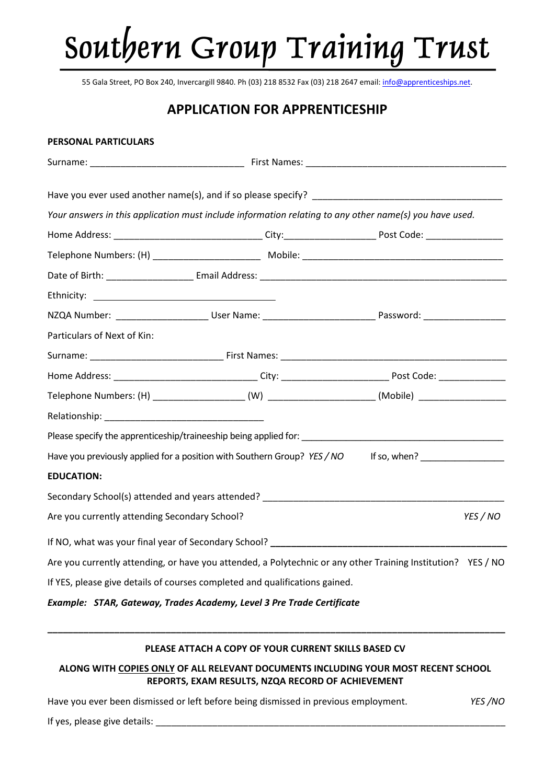# Southern Group Training Trust

55 Gala Street, PO Box 240, Invercargill 9840. Ph (03) 218 8532 Fax (03) 218 2647 email[: info@apprenticeships.net.](mailto:info@apprenticeships.net)

# **APPLICATION FOR APPRENTICESHIP**

# **PERSONAL PARTICULARS**

| Your answers in this application must include information relating to any other name(s) you have used. |                                                                                                                |
|--------------------------------------------------------------------------------------------------------|----------------------------------------------------------------------------------------------------------------|
|                                                                                                        |                                                                                                                |
|                                                                                                        |                                                                                                                |
|                                                                                                        |                                                                                                                |
|                                                                                                        |                                                                                                                |
|                                                                                                        | NZQA Number: _________________________User Name: _______________________________Password: ____________________ |
| Particulars of Next of Kin:                                                                            |                                                                                                                |
|                                                                                                        |                                                                                                                |
|                                                                                                        |                                                                                                                |
|                                                                                                        |                                                                                                                |
|                                                                                                        |                                                                                                                |
|                                                                                                        |                                                                                                                |
| Have you previously applied for a position with Southern Group? YES / NO                               | If so, when? $\frac{1}{2}$                                                                                     |
| <b>EDUCATION:</b>                                                                                      |                                                                                                                |
| Secondary School(s) attended and years attended? _______________________________                       |                                                                                                                |
| Are you currently attending Secondary School?                                                          | YES / NO                                                                                                       |
|                                                                                                        |                                                                                                                |
|                                                                                                        | Are you currently attending, or have you attended, a Polytechnic or any other Training Institution? YES / NO   |
| If YES, please give details of courses completed and qualifications gained.                            |                                                                                                                |
| Example: STAR, Gateway, Trades Academy, Level 3 Pre Trade Certificate                                  |                                                                                                                |

# **PLEASE ATTACH A COPY OF YOUR CURRENT SKILLS BASED CV**

**\_\_\_\_\_\_\_\_\_\_\_\_\_\_\_\_\_\_\_\_\_\_\_\_\_\_\_\_\_\_\_\_\_\_\_\_\_\_\_\_\_\_\_\_\_\_\_\_\_\_\_\_\_\_\_\_\_\_\_\_\_\_\_\_\_\_\_\_\_\_\_\_\_\_\_\_\_\_\_\_\_\_\_\_\_\_\_\_\_**

**ALONG WITH COPIES ONLY OF ALL RELEVANT DOCUMENTS INCLUDING YOUR MOST RECENT SCHOOL REPORTS, EXAM RESULTS, NZQA RECORD OF ACHIEVEMENT**

Have you ever been dismissed or left before being dismissed in previous employment. *YES /NO*

If yes, please give details: